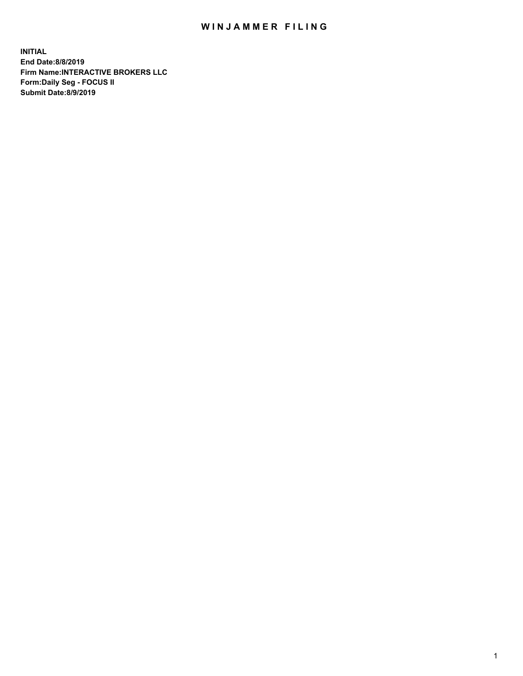## WIN JAMMER FILING

**INITIAL End Date:8/8/2019 Firm Name:INTERACTIVE BROKERS LLC Form:Daily Seg - FOCUS II Submit Date:8/9/2019**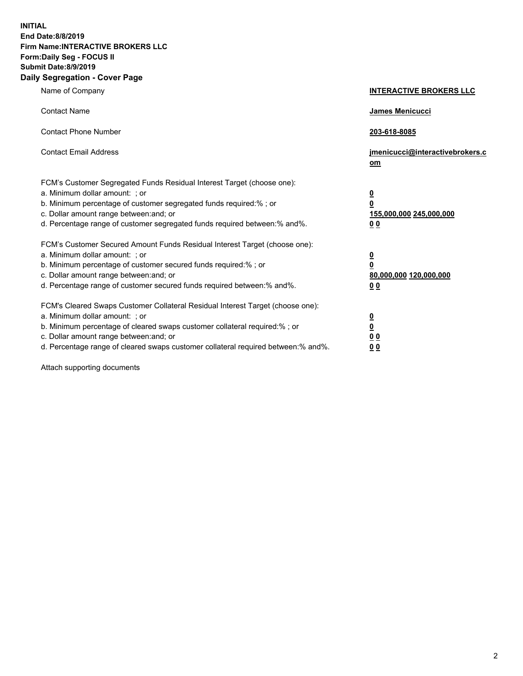**INITIAL End Date:8/8/2019 Firm Name:INTERACTIVE BROKERS LLC Form:Daily Seg - FOCUS II Submit Date:8/9/2019 Daily Segregation - Cover Page**

| Name of Company                                                                                                                                                                                                                                                                                                                | <b>INTERACTIVE BROKERS LLC</b>                                                      |
|--------------------------------------------------------------------------------------------------------------------------------------------------------------------------------------------------------------------------------------------------------------------------------------------------------------------------------|-------------------------------------------------------------------------------------|
| <b>Contact Name</b>                                                                                                                                                                                                                                                                                                            | James Menicucci                                                                     |
| <b>Contact Phone Number</b>                                                                                                                                                                                                                                                                                                    | 203-618-8085                                                                        |
| <b>Contact Email Address</b>                                                                                                                                                                                                                                                                                                   | jmenicucci@interactivebrokers.c<br>om                                               |
| FCM's Customer Segregated Funds Residual Interest Target (choose one):<br>a. Minimum dollar amount: ; or<br>b. Minimum percentage of customer segregated funds required:% ; or<br>c. Dollar amount range between: and; or<br>d. Percentage range of customer segregated funds required between:% and%.                         | $\overline{\mathbf{0}}$<br>$\overline{\mathbf{0}}$<br>155,000,000 245,000,000<br>00 |
| FCM's Customer Secured Amount Funds Residual Interest Target (choose one):<br>a. Minimum dollar amount: ; or<br>b. Minimum percentage of customer secured funds required:% ; or<br>c. Dollar amount range between: and; or<br>d. Percentage range of customer secured funds required between:% and%.                           | $\overline{\mathbf{0}}$<br>$\pmb{0}$<br>80,000,000 120,000,000<br>00                |
| FCM's Cleared Swaps Customer Collateral Residual Interest Target (choose one):<br>a. Minimum dollar amount: ; or<br>b. Minimum percentage of cleared swaps customer collateral required:% ; or<br>c. Dollar amount range between: and; or<br>d. Percentage range of cleared swaps customer collateral required between:% and%. | $\overline{\mathbf{0}}$<br>$\underline{\mathbf{0}}$<br>0 <sub>0</sub><br>00         |

Attach supporting documents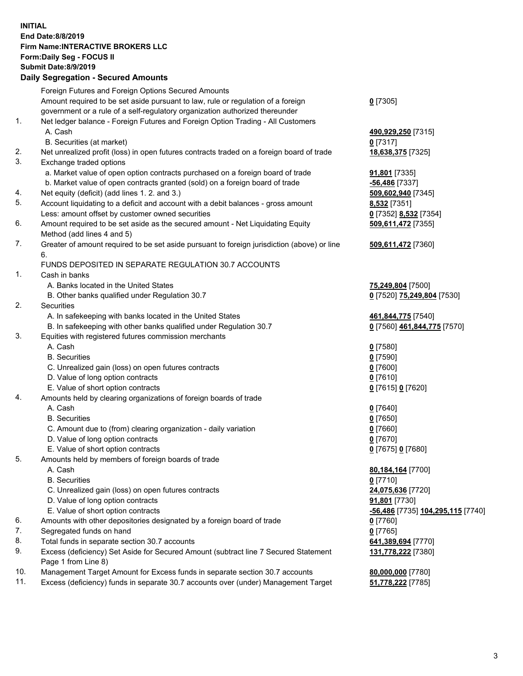## **INITIAL End Date:8/8/2019 Firm Name:INTERACTIVE BROKERS LLC Form:Daily Seg - FOCUS II Submit Date:8/9/2019 Daily Segregation - Secured Amounts**

|     | 2011, Ocglegation - Oceaned Anioanto                                                                       |                                                |
|-----|------------------------------------------------------------------------------------------------------------|------------------------------------------------|
|     | Foreign Futures and Foreign Options Secured Amounts                                                        |                                                |
|     | Amount required to be set aside pursuant to law, rule or regulation of a foreign                           | $0$ [7305]                                     |
|     | government or a rule of a self-regulatory organization authorized thereunder                               |                                                |
| 1.  | Net ledger balance - Foreign Futures and Foreign Option Trading - All Customers                            |                                                |
|     | A. Cash                                                                                                    | 490,929,250 [7315]                             |
|     | B. Securities (at market)                                                                                  | 0 [7317]                                       |
| 2.  | Net unrealized profit (loss) in open futures contracts traded on a foreign board of trade                  | 18,638,375 [7325]                              |
| 3.  | Exchange traded options                                                                                    |                                                |
|     | a. Market value of open option contracts purchased on a foreign board of trade                             | <b>91,801</b> [7335]                           |
|     | b. Market value of open contracts granted (sold) on a foreign board of trade                               | -56,486 [7337]                                 |
| 4.  | Net equity (deficit) (add lines 1. 2. and 3.)                                                              | 509,602,940 [7345]                             |
| 5.  | Account liquidating to a deficit and account with a debit balances - gross amount                          | <b>8,532</b> [7351]                            |
|     | Less: amount offset by customer owned securities                                                           | 0 [7352] 8,532 [7354]                          |
| 6.  | Amount required to be set aside as the secured amount - Net Liquidating Equity                             | 509,611,472 [7355]                             |
|     | Method (add lines 4 and 5)                                                                                 |                                                |
| 7.  | Greater of amount required to be set aside pursuant to foreign jurisdiction (above) or line                | 509,611,472 [7360]                             |
|     | 6.                                                                                                         |                                                |
|     | FUNDS DEPOSITED IN SEPARATE REGULATION 30.7 ACCOUNTS                                                       |                                                |
| 1.  | Cash in banks                                                                                              |                                                |
|     | A. Banks located in the United States                                                                      | 75,249,804 [7500]                              |
|     | B. Other banks qualified under Regulation 30.7                                                             | 0 [7520] 75,249,804 [7530]                     |
| 2.  | Securities                                                                                                 |                                                |
|     | A. In safekeeping with banks located in the United States                                                  | 461,844,775 [7540]                             |
|     | B. In safekeeping with other banks qualified under Regulation 30.7                                         | 0 [7560] 461,844,775 [7570]                    |
| 3.  | Equities with registered futures commission merchants                                                      |                                                |
|     | A. Cash                                                                                                    | $0$ [7580]                                     |
|     | <b>B.</b> Securities                                                                                       | $0$ [7590]                                     |
|     | C. Unrealized gain (loss) on open futures contracts                                                        | $0$ [7600]                                     |
|     | D. Value of long option contracts                                                                          | $0$ [7610]                                     |
|     | E. Value of short option contracts                                                                         | 0 [7615] 0 [7620]                              |
| 4.  | Amounts held by clearing organizations of foreign boards of trade                                          |                                                |
|     | A. Cash                                                                                                    | $0$ [7640]                                     |
|     | <b>B.</b> Securities                                                                                       | $0$ [7650]                                     |
|     | C. Amount due to (from) clearing organization - daily variation                                            | $0$ [7660]                                     |
|     | D. Value of long option contracts                                                                          | $0$ [7670]                                     |
|     | E. Value of short option contracts                                                                         | 0 [7675] 0 [7680]                              |
| 5.  | Amounts held by members of foreign boards of trade                                                         |                                                |
|     | A. Cash                                                                                                    | 80,184,164 [7700]                              |
|     | <b>B.</b> Securities                                                                                       | $0$ [7710]                                     |
|     | C. Unrealized gain (loss) on open futures contracts                                                        | 24,075,636 [7720]                              |
|     | D. Value of long option contracts                                                                          | <b>91,801</b> [7730]                           |
|     | E. Value of short option contracts                                                                         | <mark>-56,486</mark> [7735] 104,295,115 [7740] |
| 6.  | Amounts with other depositories designated by a foreign board of trade                                     | 0 [7760]                                       |
| 7.  | Segregated funds on hand                                                                                   | $0$ [7765]                                     |
| 8.  | Total funds in separate section 30.7 accounts                                                              | 641,389,694 [7770]                             |
| 9.  | Excess (deficiency) Set Aside for Secured Amount (subtract line 7 Secured Statement<br>Page 1 from Line 8) | 131,778,222 [7380]                             |
| 10. | Management Target Amount for Excess funds in separate section 30.7 accounts                                | 80,000,000 [7780]                              |
| 11. | Excess (deficiency) funds in separate 30.7 accounts over (under) Management Target                         | 51,778,222 [7785]                              |
|     |                                                                                                            |                                                |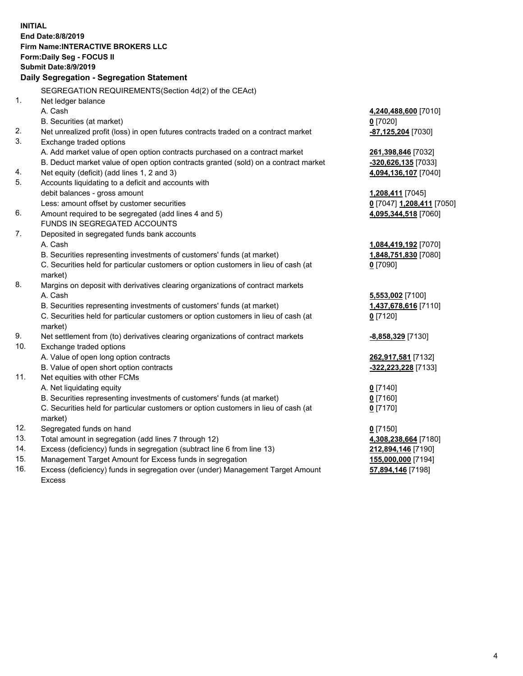**INITIAL End Date:8/8/2019 Firm Name:INTERACTIVE BROKERS LLC Form:Daily Seg - FOCUS II Submit Date:8/9/2019 Daily Segregation - Segregation Statement** SEGREGATION REQUIREMENTS(Section 4d(2) of the CEAct) 1. Net ledger balance A. Cash **4,240,488,600** [7010] B. Securities (at market) **0** [7020] 2. Net unrealized profit (loss) in open futures contracts traded on a contract market **-87,125,204** [7030] 3. Exchange traded options A. Add market value of open option contracts purchased on a contract market **261,398,846** [7032] B. Deduct market value of open option contracts granted (sold) on a contract market **-320,626,135** [7033] 4. Net equity (deficit) (add lines 1, 2 and 3) **4,094,136,107** [7040] 5. Accounts liquidating to a deficit and accounts with debit balances - gross amount **1,208,411** [7045] Less: amount offset by customer securities **0** [7047] **1,208,411** [7050] 6. Amount required to be segregated (add lines 4 and 5) **4,095,344,518** [7060] FUNDS IN SEGREGATED ACCOUNTS 7. Deposited in segregated funds bank accounts A. Cash **1,084,419,192** [7070] B. Securities representing investments of customers' funds (at market) **1,848,751,830** [7080] C. Securities held for particular customers or option customers in lieu of cash (at market) **0** [7090] 8. Margins on deposit with derivatives clearing organizations of contract markets A. Cash **5,553,002** [7100] B. Securities representing investments of customers' funds (at market) **1,437,678,616** [7110] C. Securities held for particular customers or option customers in lieu of cash (at market) **0** [7120] 9. Net settlement from (to) derivatives clearing organizations of contract markets **-8,858,329** [7130] 10. Exchange traded options A. Value of open long option contracts **262,917,581** [7132] B. Value of open short option contracts **-322,223,228** [7133] 11. Net equities with other FCMs A. Net liquidating equity **0** [7140] B. Securities representing investments of customers' funds (at market) **0** [7160] C. Securities held for particular customers or option customers in lieu of cash (at market) **0** [7170] 12. Segregated funds on hand **0** [7150] 13. Total amount in segregation (add lines 7 through 12) **4,308,238,664** [7180] 14. Excess (deficiency) funds in segregation (subtract line 6 from line 13) **212,894,146** [7190] 15. Management Target Amount for Excess funds in segregation **155,000,000** [7194] 16. Excess (deficiency) funds in segregation over (under) Management Target Amount **57,894,146** [7198]

Excess